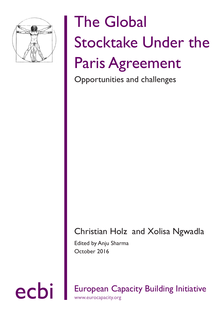

# The Global Stocktake Under the Paris Agreement

Opportunities and challenges

## Christian Holz and Xolisa Ngwadla

Edited by Anju Sharma October 2016

ecbi European Capacity Building Initiative www.eurocapacity.org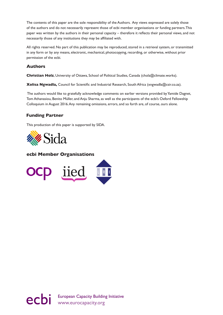The contents of this paper are the sole responsibility of the Authors. Any views expressed are solely those of the authors and do not necessarily represent those of ecbi member organisations or funding partners. This paper was written by the authors in their personal capacity – therefore it reflects their personal views, and not necessarily those of any institutions they may be affiliated with.

All rights reserved. No part of this publication may be reproduced, stored in a retrieval system, or transmitted in any form or by any means, electronic, mechanical, photocopying, recording, or otherwise, without prior permission of the ecbi.

#### **Authors**

**Christian Holz**, University of Ottawa, School of Political Studies, Canada (cholz@climate.works).

**Xolisa Ngwadla,** Council for Scientific and Industrial Research, South Africa (xngwadla@csir.co.za).

 The authors would like to gratefully acknowledge comments on earlier versions provided by Yamide Dagnet, Tom Athanasiou, Benito Müller, and Anju Sharma, as well as the participants of the ecbi's Oxford Fellowship Colloquium in August 2016. Any remaining omissions, errors, and so forth are, of course, ours alone.

#### **Funding Partner**

This production of this paper is supported by SIDA.



#### **ecbi Member Organisations**



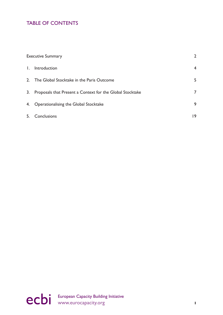## TABLE OF CONTENTS

| <b>Executive Summary</b>                                     | $\overline{2}$ |
|--------------------------------------------------------------|----------------|
| I. Introduction                                              | $\overline{4}$ |
| 2. The Global Stocktake in the Paris Outcome                 | 5              |
| 3. Proposals that Present a Context for the Global Stocktake | 7              |
| 4. Operationalising the Global Stocktake                     | 9              |
| 5. Conclusions                                               | 19             |

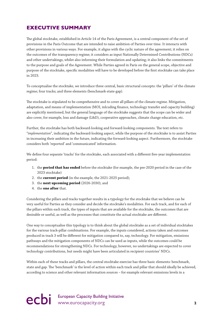## <span id="page-3-0"></span>**EXECUTIVE SUMMARY**

The global stocktake, established in Article 14 of the Paris Agreement, is a central component of the set of provisions in the Paris Outcome that are intended to raise ambition of Parties over time. It interacts with other provisions in various ways. For example, it aligns with the cyclic nature of the agreement; it relies on the outcomes of the transparency regime; it considers as input Nationally Determined Contributions (NDCs) and other undertakings, whilst also informing their formulation and updating; it also links the commitments to the purpose and goals of the Agreement. While Parties agreed in Paris on the general scope, objective and purpose of the stocktake, specific modalities will have to be developed before the first stocktake can take place in 2023.

To conceptualise the stocktake, we introduce three central, basic structural concepts: the 'pillars' of the climate regime; four tracks; and three elements (benchmark-state-gap).

The stocktake is stipulated to be comprehensive and to cover all pillars of the climate regime. Mitigation, adaptation, and means of implementation (MOI, inlcuding finance, technology transfer and capacity building) are explicitly mentioned, but the general language of the stocktake suggests that the scope can be wider and also cover, for example, loss and damage (L&D), cooperative approaches, climate change education, etc.

Further, the stocktake has both backward-looking and forward-looking components. The text refers to "*implementation*", indicating the backward-looking aspect, while the purpose of the stocktake is to assist Parties in increasing their ambition in the future, indicating the forward-looking aspect. Furthermore, the stocktake considers both 'reported' and 'communicated' information.

We define four separate 'tracks' for the stocktake, each associated with a different five-year implementation period:

- 1. the **period that has ended** before the stocktake (for example, the pre-2020 period in the case of the 2023 stocktake)
- 2. the **current period** (in the example, the 2021-2025 period);
- 3. the **next upcoming period** (2026-2030); and
- 4. the **one after** that.

Considering the pillars and tracks together results in a typology for the stocktake that we believe can be very useful for Parties as they consider and decide the stocktake's modalities. For each track, and for each of the pillars within each track, the types of inputs that are available for the stocktake, the outcomes that are desirable or useful, as well as the processes that constitute the actual stocktake are different.

One way to conceptualise this typology is to think about the global stocktake as a set of individual stocktakes for the various track-pillar combinations. For example, the inputs considered, actions taken and outcomes produced in track 3 will be different for mitigation compared to, say, technology. For mitigation, emissions pathways and the mitigation components of NDCs can be used as inputs, while the outcomes could be recommendations for strengthening NDCs. For technology, however, no undertakings are expected to cover technology contributions, but needs might have been articulated in recipient countries' NDCs.

Within each of these tracks and pillars, the central stocktake exercise has three basic elements: benchmark, state and gap. The 'benchmark' is the level of action within each track and pillar that should ideally be achieved, according to science and other relevant information sources – for example relevant emissions levels in a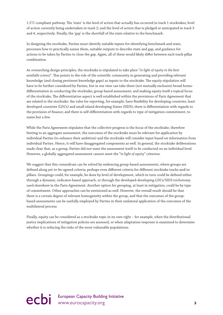1.5°C-compliant pathway. The 'state' is the level of action that actually has occurred in track 1 stocktakes; level of action currently being undertaken in track 2; and the level of action that is pledged or anticipated in track 3 and 4, respectively. Finally, the 'gap' is the shortfall of the state relative to the benchmark.

In designing the stocktake, Parties must identify suitable inputs for identifying benchmark and state, processes how to practically assess them, suitable outputs to describe state and gap, and guidance for actions to be taken by Parties to close the gap. Again, all of these would likely differ between each track-pillar combination.

As overarching design principles, the stocktake is stipulated to take place "*in light of equity in the best available science*". This points to the role of the scientific community in generating and providing relevant knowledge (and closing pertinent knowledge gaps) as inputs to the stocktake. The equity stipulation will have to be further considered by Parties, but in our view can take three (not mutually exclusive) broad forms: differentiation in conducting the stocktake; group-based assessment; and making equity itself a topical focus of the stocktake. The differentiation aspect is well established within the provisions of Paris Agreement that are related to the stocktake: the rules for reporting, for example, have flexibility for developing countries, least developed countries (LDCs) and small island developing States (SIDS); there is differentiation with regards to the provision of finance; and there is self-differentiation with regards to type of mitigation commitment, to name but a few.

While the Paris Agreement stipulates that the collective progress is the focus of the stocktake, therefore hinting to an aggregate assessment, the outcomes of the stocktake must be relevant for application by individual Parties (to enhance their ambition) and the stocktake will consider input based on information from individual Parties. Hence, it will have disaggregated components as well. In general, the stocktake deliberations made clear that, as a group, Parties did not want the assessment itself to be conducted on an individual level. However, a globally-aggregated assessment cannot meet the "*in light of equity*" criterion.

We suggest that this conundrum can be solved by embracing group-based assessments, where groups are defined along yet-to-be-agreed criteria; perhaps even different criteria for different stocktake tracks and/or pillars. Groupings could, for example, be done by level of development, which in turn could be defined either through a dynamic, indicator-based approach, or through the developed-developing-LDCs/SIDS trichotomy used elsewhere in the Paris Agreement. Another option for grouping, at least in mitigation, could be by type of commitment. Other approaches can be envisioned as well. However, the overall result should be that there is a certain degree of relevant homogeneity within the group, and that the outcomes of the groupbased assessments can be usefully employed by Parties in their unilateral application of the outcomes of the multilateral process.

Finally, equity can be considered as a stocktake topic in its own right – for example, when the distributional justice implications of mitigation policies are assessed, or when adaptation response is examined to determine whether it is reducing the risks of the most vulnerable populations.

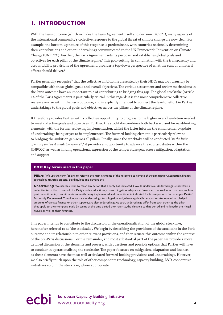### <span id="page-5-0"></span>**1. INTRODUCTION**

With the Paris outcome (which includes the Paris Agreement itself and decision 1/CP.21), many aspects of the international community's collective response to the global threat of climate change are now clear. For example, the bottom-up nature of this response is predominant, with countries nationally determining their contributions and other undertakings communicated to the UN Framework Convention on Climate Change (UNFCCC). Further, the Paris Agreement sets its purpose, and establishes global goals and objectives for each pillar of the climate regime.<sup>1</sup> This goal-setting, in combination with the transparency and accountability provisions of the Agreement, provides a top-down perspective of what the sum of unilateral efforts should deliver.<sup>2</sup>

Parties generally recognise<sup>3</sup> that the collective ambition represented by their NDCs may not plausibly be compatible with these global goals and overall objectives. The various assessment and review mechanisms in the Paris outcome have an important role of contributing to bridging this gap. The global stocktake (Article 14 of the Paris Agreement) is particularly crucial in this regard: it is the most comprehensive collective review exercise within the Paris outcome, and is explicitly intended to connect the level of effort in Parties' undertakings to the global goals and objectives across the pillars of the climate regime.

It therefore provides Parties with a collective opportunity to progress to the higher overall ambition needed to meet collective goals and objectives. Further, the stocktake combines both backward and forward-looking elements, with the former reviewing implementation, whilst the latter informs the enhancement/update of undertakings being or yet to be implemented. The forward-looking element is particularly relevant to bridging the ambition gap across all pillars. Finally, since the stocktake will be conducted "*in the light of equity and best available science*",4 it provides an opportunity to advance the equity debates within the UNFCCC, as well as finding operational expression of the temperature goal across mitigation, adaptation and support.

#### **BOX: Key terms used in this paper**

**Pillars:** We use the term 'pillars' to refer to the main elements of the response to climate change: mitigation, adaptation, finance, technology transfer, capacity building, loss and damage etc.

**Undertaking:** We use this term to mean any action that a Party has indicated it would undertake. Undertakings is therefore a collective term that covers all of a Party's indicated actions, across mitigation, adaptation, finance etc., as well as across time, such as past commitments, commitments currently being implemented and commitments indicated for future periods. For example, Parties' Nationally Determined Contributions are undertakings for mitigation and, where applicable, adaptation. Announced or pledged amounts of climate finance or other support, are also undertakings. As such, undertakings differ from each other by the pillar they apply to, their temporal scale (in terms of the time period they refer to, the distance to that period and its length), their legal nature, as well as their firmness.

This paper intends to contribute to the discussion of the operationalization of the global stocktake, hereinafter referred to as 'the stocktake'. We begin by describing the provisions of the stocktake in the Paris outcome and its relationship to other relevant provisions, and then situate this outcome within the context of the pre-Paris discussions. For the remainder, and most substantial part of the paper, we provide a more detailed discussion of the elements and process, with questions and possible options that Parties will have to consider in operationalising the stocktake. The paper focusses on mitigation, adaptation and finance, as these elements have the most well-articulated forward-looking provisions and undertakings. However, we also briefly touch upon the role of other components (technology, capacity building, L&D, cooperative initiatives etc.) in the stocktake, where appropriate.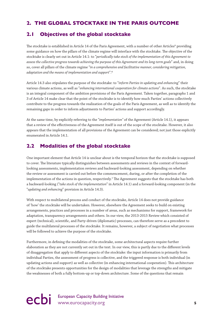### <span id="page-6-0"></span>**2. THE GLOBAL STOCKTAKE IN THE PARIS OUTCOME**

### **2.1 Objectives of the global stocktake**

The stocktake is established in Article 14 of the Paris Agreement, with a number of other Articles<sup>5</sup> providing some guidance on how the pillars of the climate regime will interface with the stocktake. The objective of the stocktake is clearly set out in Article 14.1: to "*periodically take stock of the implementation of this Agreement to assess the collective progress towards achieving the purpose of this Agreement and its long-term goals*" and, in doing so, cover all pillars of the climate regime "*in a comprehensive and facilitative manner, considering mitigation, adaptation and the means of implementation and support*".6

Article 14.3 also stipulates the purpose of the stocktake: to "*inform Parties in updating and enhancing*" their various climate actions, as well as "*enhancing international cooperation for climate actions*". As such, the stocktake is an integral component of the ambition provisions of the Paris Agreement. Taken together, paragraphs 1 and 3 of Article 14 make clear that the point of the stocktake is to identify how much Parties' actions collectively contribute to the progress towards the realization of the goals of the Paris Agreement, as well as to identify the remaining gaps in order to inform adjustments to Parties' actions and support accordingly.

At the same time, by explicitly referring to the "*implementation"* of the Agreement (Article 14.1), it appears that a review of the effectiveness of the Agreement itself is out of the scope of the stocktake. However, it also appears that the implementation of all provisions of the Agreement can be considered; not just those explicitly enumerated in Article 14.1.

### **2.2 Modalities of the global stocktake**

One important element that Article 14 is unclear about is the temporal horizon that the stocktake is supposed to cover. The literature typically distinguishes between assessments and reviews in the context of forwardlooking assessments, implementation reviews and backward-looking assessment, depending on whether the review or assessment is carried out before the commencement, during, or after the completion of the implementation of the actions in question, respectively.7 The Agreement suggests that the stocktake has both a backward-looking ("*take stock of the implementation*" in Article 14.1) and a forward-looking component (in the "*updating and enhancing*" provision in Article 14.3).

With respect to multilateral process and conduct of the stocktake, Article 14 does not provide guidance of 'how' the stocktake will be undertaken. However, elsewhere the Agreement seeks to build on existing arrangements, practices and processes in a number of areas, such as mechanisms for support, framework for adaptation, transparency arrangements and others. In our view, the 2013-2015 Review which consisted of expert (technical), scientific, and Party-driven (diplomatic) processes, can therefore serve as a precedent to guide the multilateral processes of the stocktake. It remains, however, a subject of negotiation what processes will be followed to achieve the purpose of the stocktake.

Furthermore, in defining the modalities of the stocktake, some architectural aspects require further elaboration as they are not currently set out in the text. In our view, this is partly due to the different levels of disaggregation that apply to different aspects of the stocktake: the input information is primarily from individual Parties, the assessment of progress is collective, and the triggered response is both individual (in updating actions and support) as well as collective (in enhancing international cooperation). This architecture of the stocktake presents opportunities for the design of modalities that leverage the strengths and mitigate the weaknesses of both a fully bottom-up or top-down architecture. Some of the questions that remain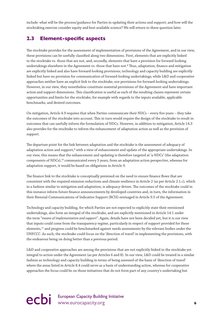include: what will be the process/guidance for Parties in updating their actions and support; and how will the stocktaking exercise consider equity and best available science? We will return to these question later.

### **2.3 Element-specific aspects**

The stocktake provides for the assessment of implementation of provisions of the Agreement, and in our view, these provisions can be usefully classified along two dimensions. First, elements that are explicitly linked to the stocktake vs. those that are not, and, secondly, elements that have a provision for forward-looking undertakings elsewhere in the Agreement vs. those that have not.8 Thus, adaptation, finance and mitigation are explicitly linked and also have forward-looking provisions; technology and capacity building are explicitly linked but have no provision for communication of forward-looking undertakings; while L&D and cooperative approaches neither have an explicit link to the stocktake, nor provisions for forward-looking undertakings. However, in our view, they nonetheless constitute essential provisions of the Agreement and have important action and support dimensions. This classification is useful as each of the resulting classes represent certain opportunities and limits for the stocktake, for example with regards to the inputs available, applicable benchmarks, and desired outcomes.

On mitigation, Article 4.9 requires that when Parties communicate their NDCs – every five years – they take the outcomes of the stocktake into account. This in turn would require the design of the stocktake to result in outcomes that can usefully inform the formulation of NDCs. However, in addition to mitigation, Article 14.3 also provides for the stocktake to inform the enhancement of adaptation action as well as the provision of support.

The departure point for the link between adaptation and the stocktake is the assessment of adequacy of adaptation action and support,<sup>9</sup> with a view of enhancement and update of the appropriate undertakings. In our view, this means that the enhancement and updating is therefore targeted at 'a-NDCs' (the adaptation components of NDCs),<sup>10</sup> communicated every 5 years, from an adaptation action perspective, whereas for adaptation support, it would be based on obligations in Article 9.

The finance link to the stocktake is conceptually premised on the need to ensure finance flows that are consistent with the required emission reductions and climate resilience in Article 2 (as per Article 2.1.c), which in a fashion similar to mitigation and adaptation, is adequacy-driven. The outcomes of the stocktake could in this instance inform future finance announcements by developed countries and, in turn, the information in their Biennial Communications of Indicative Support (BCIS) envisaged in Article 9.5 of the Agreement.

Technology and capacity building, for which Parties are not expected to explicitly state their envisioned undertakings, also form an integral of the stocktake, and are explicitly mentioned in Article 14.1 under the term "*means of implementation and support*". Again, details have not been decided yet, but it is our view that inputs could come from the transparency regime, particularly in respect of support provided for these elements,11 and progress could be benchmarked against needs assessments by the relevant bodies under the UNFCCC. As such, the stocktake could focus on the 'direction of travel' in implementing the provisions, with the endeavour being on doing better than a previous period.

L&D and cooperative approaches are among the provisions that are not explicitly linked to the stocktake yet integral to action under the Agreement (as per Articles 6 and 8). In our view, L&D could be treated in a similar fashion as technology and capacity building in terms of being assessed of the basis of 'direction of travel' where the areas listed in Article 8.4 could serve as a basis of understanding action, whereas for cooperative approaches the focus could be on those initiatives that do not form part of any country's undertaking but

## ecbi European Capacity Building Initiative **6**<br> **example 20** intervention of the www.eurocapacity.org **6**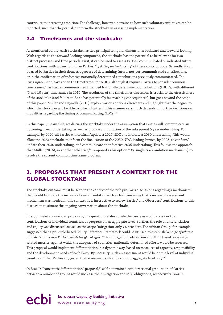<span id="page-8-0"></span>contribute to increasing ambition. The challenge, however, pertains to how such voluntary initiatives can be reported, such that they can also inform the stocktake in assessing implementation.

### **2.4 Timeframes and the stocktake**

As mentioned before, each stocktake has two principal temporal dimensions: backward and forward-looking. With regards to the forward-looking component, the stocktake has the potential to be relevant for two distinct processes and time periods. First, it can be used to assess Parties' communicated or indicated future contributions, with a view to inform Parties' "*updating and enhancing*" of these contributions. Secondly, it can be used by Parties in their domestic process of determining future, not-yet-communicated contributions, or in the confirmation of indicative nationally determined contributions previously communicated. The Paris Agreement leaves open the timeframes for NDCs, although it requires Parties to consider common timeframes,12 as Parties communicated Intended Nationally determined Contributions (INDCs) with different (5 and 10 year) timeframes in 2015. The resolution of the timeframes discussion is crucial to the effectiveness of the stocktake (and failure to do so has potentially far-reaching consequences), but goes beyond the scope of this paper. Müller and Ngwadla (2016) explore various options elsewhere and highlight that the degree to which the stocktake will be able to inform Parties in this manner very much depends on further decisions on modalities regarding the timing of communicating NDCs.<sup>13</sup>

In this paper, meanwhile, we discuss the stocktake under the assumption that Parties will communicate an upcoming 5 year undertaking, as well as provide an indication of the subsequent 5 year undertaking. For example, by 2020, all Parties will confirm/update a 2025 NDC and indicate a 2030 undertaking. This would allow the 2023 stocktake to inform the finalisation of the 2030 NDC, leading Parties, by 2025, to confirm/ update their 2030 undertaking, and communicate an indicative 2035 undertaking. This follows the approach that Müller (2016), in another ecbi brief,<sup>14</sup> proposed as his option 2 ('a single-track ambition mechanism') to resolve the current common timeframe problem.

## **3. PROPOSALS THAT PRESENT A CONTEXT FOR THE GLOBAL STOCKTAKE**

The stocktake outcome must be seen in the context of the rich pre-Paris discussions regarding a mechanism that would facilitate the increase of overall ambition with a clear consensus that a review or assessment mechanism was needed in this context. It is instructive to review Parties' and Observers' contributions to this discussion to situate the ongoing conversation about the stocktake.

First, on substance-related proposals, one question relates to whether reviews would consider the contributions of individual countries, or progress on an aggregate level. Further, the role of differentiation and equity was discussed, as well as the scope (mitigation-only vs. broader). The African Group, for example, suggested that a principle-based Equity Reference Framework could be utilised to establish "*a range of relative contributions by each Party towards the global effort*"15 for mitigation, adaptation and MOI, based on equityrelated metrics, against which the adequacy of countries' nationally determined efforts would be assessed. This proposal would implement differentiation in a dynamic way, based on measures of capacity, responsibility and the development needs of each Party. By necessity, such an assessment would be on the level of individual countries. Other Parties suggested that assessments should occur on aggregate level only.16

In Brazil's "concentric differentiation" proposal,<sup>17</sup> self-determined, uni-directional graduation of Parties between a number of groups would increase their mitigation and MOI obligations, respectively. Brazil's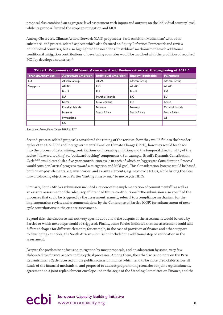proposal also combined an aggregate-level assessment with inputs and outputs on the individual country level, while its proposal limited the scope to mitigation and MOI.

Among Observers, Climate Action Network (CAN) proposed a 'Paris Ambition Mechanism' with both substance- and process-related aspects which also featured an Equity Reference Framework and review of individual countries, but also highlighted the need for a "matchbox" mechanism in which additional conditional mitigation contributions of developing countries would be matched with the provision of required MOI by developed countries.<sup>18</sup>

| Table 1: Proponents of different Assessment and Review criteria at the beginning of 2015 <sup>19</sup> |                           |                            |                          |                   |  |  |  |
|--------------------------------------------------------------------------------------------------------|---------------------------|----------------------------|--------------------------|-------------------|--|--|--|
| Transparency etc.                                                                                      | <b>Aggregate ambition</b> | <b>Individual ambition</b> | <b>Equity/ Equitable</b> | <b>Fair(ness)</b> |  |  |  |
| EU.                                                                                                    | African Group             | <b>AILAC</b>               | African Group            | African Group     |  |  |  |
| Singapore                                                                                              | <b>AILAC</b>              | <b>EIG</b>                 | <b>AILAC</b>             | <b>AILAC</b>      |  |  |  |
|                                                                                                        | Brazil                    | EU                         | <b>Brazil</b>            | EIG               |  |  |  |
|                                                                                                        | EU                        | Marshall Islands           | EIG                      | EU                |  |  |  |
|                                                                                                        | Korea                     | New Zealand                | EU                       | Korea             |  |  |  |
|                                                                                                        | Marshall Islands          | Norway                     | Norway                   | Marshall Islands  |  |  |  |
|                                                                                                        | Norway                    | South Africa               | South Africa             | South Africa      |  |  |  |
|                                                                                                        | Switzerland               |                            |                          | US.               |  |  |  |
|                                                                                                        | US.                       |                            |                          |                   |  |  |  |

*Source: van Asselt, Pauw, Sælen 2015, p. 5520*

Second, process-related proposals considered the timing of the reviews, how they would fit into the broader cycles of the UNFCCC and Intergovernmental Panel on Climate Change (IPCC), how they would feedback into the process of determining contributions or increasing ambition, and the temporal directionality of the review ('forward-looking' vs. 'backward-looking' components). For example, Brazil's Dynamic Contribution Cycle21,22 would establish a five-year contribution cycle in each of which an 'Aggregate Consideration Process' would consider Parties' progress toward a mitigation and MOI goal. This Consideration Process would be based both on ex-post elements, e.g. inventories, and ex-ante elements, e.g. next-cycle NDCs, while having the clear forward-looking objective of Parties "*making adjustments*" to next-cycle NDCs.

Similarly, South Africa's submission included a review of the implementation of commitments<sup>23</sup> as well as an ex-ante assessment of the adequacy of intended future contributions.24 The submission also specified the processes that could be triggered by the assessment, namely, referral to a compliance mechanism for the implementation review and recommendations by the Conference of Parties (COP) for enhancement of nextcycle contributions in the ex-ante assessment.

Beyond this, the discourse was not very specific about how the outputs of the assessment would be used by Parties or which next steps would be triggered. Finally, some Parties indicated that the assessment could take different shapes for different elements; for example, in the case of provision of finance and other support to developing countries, the South African submission included the additional step of verification in the assessment.

Despite the predominant focus on mitigation by most proposals, and on adaptation by some, very few elaborated the finance aspects in the cyclical processes. Among them, the ecbi discussion note on the Paris Replenishment Cycle focussed on the public sources of finance, which tend to be more predictable across all funds of the financial mechanism, and proposed to address programming scenarios for joint replenishment, agreement on a joint replenishment envelope under the aegis of the Standing Committee on Finance, and the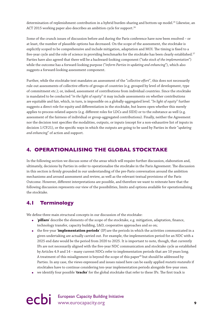<span id="page-10-0"></span>determination of replenishment contribution in a hybrid burden-sharing and bottom-up model.<sup>25</sup> Likewise, an ACT 2015 working paper also describes an ambition cycle for support.<sup>26</sup>

Some of the crunch issues of discussion before and during the Paris conference have now been resolved – or at least, the number of plausible options has decreased. On the scope of the assessment, the stocktake is explicitly scoped to be comprehensive and include mitigation, adaptation and MOI. The timing is fixed to a five-year cycle and the role of science in providing benchmarks for the stocktake has been clearly established.<sup>27</sup> Parties have also agreed that there will be a backward-looking component ("*take stock of the implementation*") while the outcome has a forward-looking purpose ("*inform Parties in updating and enhancing*"), which also suggests a forward-looking assessment component.

Further, while the stocktake text mandates an assessment of the "*collective effort*", this does not necessarily rule out assessments of collective efforts of groups of countries (e.g. grouped by level of development, type of commitment etc.); or, indeed, assessment of contributions from individual countries. Since the stocktake is mandated to be conducted "*in the light of equity*" it may include assessments on whether contributions are equitable and fair, which, in turn, is impossible on a globally-aggregated level. "*In light of equity*" further suggests a direct role for equity and differentiation in the stocktake, but leaves open whether this merely applies to process-related aspects (e.g. different roles for LDCs and SIDS) or to the substance as well (e.g. assessment of the fairness of individual or group-aggregated contributions). Finally, neither the Agreement nor the decision text specifies the modalities, outputs, or inputs (except for a non-exhaustive list of inputs in decision 1/CP.21), or the specific ways in which the outputs are going to be used by Parties in their "*updating and enhancing*" of action and support.

### **4. OPERATIONALISING THE GLOBAL STOCKTAKE**

In the following section we discuss some of the areas which will require further discussion, elaboration and, ultimately, decisions by Parties in order to operationalise the stocktake in the Paris Agreement. The discussion in this section is firmly grounded in our understanding of the pre-Paris conversation around the ambition mechanisms and around assessment and review, as well as the relevant textual provisions of the Paris Outcome. However, different interpretations are possible, and therefore we want to reiterate here that the following discussion represents our view of the possibilities, limits and options available for operationalising the stocktake.

### **4.1 Terminology**

We define three main structural concepts in our discussion of the stocktake:

- '**pillars**' describe the elements of the scope of the stocktake, e.g. mitigation, adaptation, finance, technology transfer, capacity building, L&D, cooperative approaches and so on;
- the five-year '**implementation periods**' (IP) are the periods in which the activities communicated in a given undertaking are actually carried out. For example, the implementation period for an NDC with a 2025 end date would be the period from 2020 to 2025. It is important to note, though, that currently IPs are not necessarily aligned with the five-year NDC communication and stocktake cycle as established by Articles 4.9 and 14 – many current NDCs refer to implementation periods that are 10 years long. A treatment of this misalignment is beyond the scope of this paper<sup>28</sup> but should be addressed by Parties. In any case, the views expressed and issues raised here can be easily applied *mutatis mutandis* if stocktakes have to continue considering ten-year implementation periods alongside five-year ones.
- we identify four possible '**tracks**' for the global stocktake that refer to these IPs. The first track is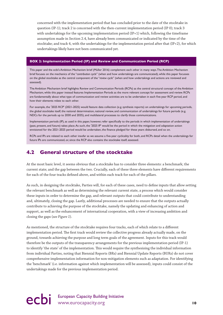concerned with the implementation period that has concluded prior to the date of the stocktake in question (IP-1); track 2 is concerned with the then-current implementation period (IP 0); track 3 with undertakings for the upcoming implementation period (IP+1) which, following the timeframe assumption made in Section 2.4, have already been communicated or indicated by the time of the stocktake; and track 4, with the undertakings for the implementation period after that (IP+2), for which undertakings likely have not been communicated yet.

#### **BOX 2: Implementation Period (IP) and Review and Communication Period (RCP)**

This paper and the ecbi's Ambition Mechanism brief (Müller 2016) complement each other in many ways. The Ambition Mechanism brief focuses on the mechanics of the "*contribution cycle*" (when and how undertakings are communicated), while this paper focusses on the global stocktake as the central component of the "*review cycle*" (when and how undertakings and actions are reviewed and assessed).

The Ambition Mechanism brief highlights Review and Communication Periods (RCPs) as the central structural concept of the Ambition Mechanism, while this paper instead features Implementation Periods as the more relevant concept for assessment and review. RCPs are fundamentally about what type of communication and review activities are to be undertaken in each five-year RCP period, and how their elements relate to each other.

For example, the '2025 RCP' (2021-2025) would feature data collection (e.g. synthesis reports) on undertakings for upcoming periods, the global stocktake itself, the national determination, national review, and communication of undertakings for future periods (e.g. NDCs for the periods up to 2030 and 2035), and multilateral processes to clarify those communications.

Implementation periods (IP), as used in this paper, however, refer specifically to the periods in which implementation of undertakings (past, present, and future) takes place. As such, the '2025 IP' would be the period in which the mitigation and adaptation action envisioned for the 2021-2025 period would be undertaken, the finance pledged for these years disbursed, and so on.

RCPs and IPs are related to each other insofar as we assume a five-year cyclicality for both, and RCPs detail when the undertakings for future IPs are communicated, or, since the RCP also contains the stocktake itself, assessed.

### **4.2 General structure of the stocktake**

At the most basic level, it seems obvious that a stocktake has to consider three elements: a benchmark; the current state; and the gap between the two. Crucially, each of these three elements have different requirements for each of the four tracks defined above, and within each track for each of the pillars.

As such, in designing the stocktake, Parties will, for each of these cases, need to define inputs that allow setting the relevant benchmark as well as determining the relevant current state, a process which would consider these inputs in order to determine the gap, and relevant outputs that could contribute to understanding and, ultimately, closing the gap. Lastly, additional processes are needed to ensure that the outputs actually contribute to achieving the purpose of the stocktake, namely the updating and enhancing of action and support, as well as the enhancement of international cooperation, with a view of increasing ambition and closing the gaps (*see Figure 1*).

As mentioned, the structure of the stocktake requires four tracks, each of which relate to a different implementation period. The first track would review the collective progress already actually made, on the ground, towards achieving the purpose and long term goals of the agreement. Inputs for this track would therefore be the outputs of the transparency arrangements for the previous implementation period (IP-1) to identify 'the state' of the implementation. This would require the synthesising the individual information from individual Parties, noting that Biennial Reports (BRs) and Biennial Update Reports (BURs) do not cover comprehensive implementation information for non-mitigation elements such as adaptation. For identifying the 'benchmark' (i.e. information against which implementation will be assessed), inputs could consist of the undertakings made for the previous implementation period.

## ecbi European Capacity Building Initiative www.eurocapacity.org **10**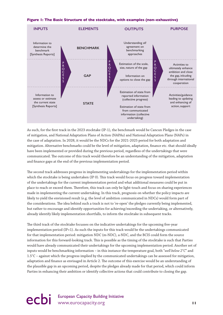



As such, for the first track in the 2023 stocktake (IP-1), the benchmark would be Cancun Pledges in the case of mitigation, and National Adaptation Plans of Action (NAPAs) and National Adaptation Plans (NAPs) in the case of adaptation. In 2028, it would be the NDCs for the 2021-2025 period for both adaptation and mitigation. Alternative benchmarks could be the level of mitigation, adaptation, finance etc. that should ideally have been implemented or provided during the previous period, regardless of the undertakings that were communicated. The outcome of this track would therefore be an understanding of the mitigation, adaptation and finance gaps at the end of the previous implementation period.

The second track addresses progress in implementing undertakings for the implementation period within which the stocktake is being undertaken (IP 0). This track would focus on progress toward implementation of the undertakings for the current implementation period and what additional measures could be put in place to reach or exceed them. Therefore, this track can only be light-touch and focus on sharing experiences made in implementing the current undertaking. In this track, prognosis on whether the policy impacts are likely to yield the envisioned result (e.g. the level of ambition communicated in NDCs) would form part of the considerations. The idea behind such a track is not to 're-open' the pledges currently being implemented, but rather to encourage and identify opportunities for achieving/exceeding the undertaking, or alternatively, already identify likely implementation shortfalls, to inform the stocktake in subsequent tracks.

The third track of the stocktake focusses on the indicative undertakings for the upcoming five-year implementation period (IP+1). As such the inputs for this track would be the undertakings communicated for that implementation period: mitigation NDC (m-NDC), a-NDC, and the BCIS could form the source information for this forward-looking track. This is possible as the timing of the stocktake is such that Parties would have already communicated their undertakings for the upcoming implementation period. Another set of inputs would be benchmarking information – in this instance the temperature goal, both "*well below 2°C*" and 1.5°C – against which the progress implied by the communicated undertakings can be assessed for mitigation, adaptation and finance as envisaged in Article 2. The outcome of this exercise would be an understanding of the plausible gap in an upcoming period, despite the pledges already made for that period, which could inform Parties in enhancing their ambition or identify collective actions that could contribute to closing the gap.

## ecbi European Capacity Building Initiative www.eurocapacity.org **11**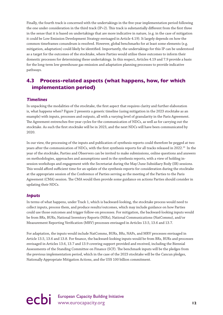Finally, the fourth track is concerned with the undertakings in the five-year implementation period following the one under consideration in the third track (IP+2). This track is substantially different from the first three in the sense that it is based on undertakings that are more indicative in nature, (e.g. in the case of mitigation it could be Low Emission Development Strategy envisaged in Article 4.19). It largely depends on how the common timeframes conundrum is resolved. However, global benchmarks for at least some elements (e.g. mitigation, adaptation) could likely be identified. Importantly, the undertakings for this IP can be understood as a target for the outcomes of the stocktake, where Parties would utilise these outcomes to inform their domestic processes for determining these undertakings. In this respect, Articles 4.19 and 7.9 provide a basis for the long-term low greenhouse gas emission and adaptation planning processes to provide indicative pathways.

### **4.3 Process-related aspects (what happens, how, for which implementation period)**

#### *Timelines*

In unpacking the modalities of the stocktake, the first aspect that requires clarity and further elaboration is, what happens when? Figure 2 presents a generic timeline (using mitigation in the 2023 stocktake as an example) with inputs, processes and outputs, all with a varying level of granularity in the Paris Agreement. The Agreement entrenches five-year cycles for the communication of NDCs, as well as for carrying out the stocktake. As such the first stocktake will be in 2023, and the next NDCs will have been communicated by 2020.

In our view, the processing of the inputs and publication of synthesis reports could therefore be pegged at two years after the communication of NDCs, with the first synthesis reports for all tracks released in 2022.<sup>29</sup> In the year of the stocktake, Parties and Observers can be invited to make submissions, online questions and answers on methodologies, approaches and assumptions used in the synthesis reports, with a view of holding insession workshops and engagement with the Secretariat during the May/June Subsidiary Body (SB) sessions. This would afford sufficient time for an update of the synthesis reports for consideration during the stocktake at the appropriate session of the Conference of Parties serving as the meeting of the Parties to the Paris Agreement (CMA) session. The CMA would then provide some guidance on actions Parties should consider in updating their NDCs.

#### *Inputs*

In terms of what happens, under Track 1, which is backward-looking, the stocktake process would need to collect inputs, process them, and produce results/outcomes, which may include guidance on how Parties could use those outcomes and trigger follow-on processes. For mitigation, the backward-looking inputs would be from BRs, BURs, National Inventory Reports (NIRs), National Communications (NatComms), and/or Measurement Reporting Verification (MRV) processes envisaged in Articles 13.5, 13.6 and 13.7.

For adaptation, the inputs would include NatComms, BURs, BRs, NAPs, and MRV processes envisaged in Article 13.5, 13.6 and 13.8. For finance, the backward-looking inputs would be from BRs, BURs and processes envisaged in Articles 13.6, 13.7 and 13.9 covering support provided and received, including the Biennial Assessments of the Standing Committee on Finance (SCF). The benchmark inputs will be the pledges from the previous implementation period, which in the case of the 2023 stocktake will be the Cancun pledges, Nationally Appropriate Mitigation Actions, and the US\$ 100 billion commitment.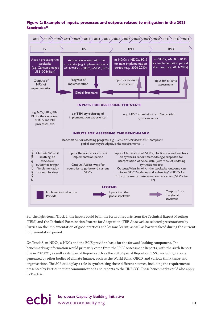#### **Figure 2: Example of inputs, processes and outputs related to mitigation in the 2023 Stocktake30**



For the light-touch Track 2, the inputs could be in the form of reports from the Technical Expert Meetings (TEM) and the Technical Examination Process for Adaptation (TEP-A) as well as selected presentations by Parties on the implementation of good practices and lessons learnt, as well as barriers faced during the current implementation period.

On Track 3, m-NDCs, a-NDCs and the BCIS provide a basis for the forward-looking component. The benchmarking information would primarily come from the IPCC Assessment Reports, with the sixth Report due in 2020/21, as well as its Special Reports such as the 2018 Special Report on 1.5°C, including reports generated by other bodies of climate finance, such as the World Bank, OECD, and various think tanks and organisations. The SCF could play a role in synthesising these different sources, including the requirements presented by Parties in their communications and reports to the UNFCCC. These benchmarks could also apply to Track 4.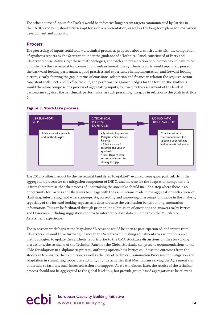The other source of inputs for Track 4 would be indicative longer term targets communicated by Parties in their NDCs and BCIS should Parties opt for such a representation, as well as the long-term plans for low carbon development and adaptation.

#### *Process*

The processing of inputs could follow a technical process as proposed above, which starts with the compilation of synthesis reports by the Secretariat under the guidance of a Technical Panel, constituted of Party and Observer representatives. Synthesis methodologies, approach and presentation of outcomes would have to be published by the Secretariat for comment and enhancement. The synthesis reports would separately present the backward-looking performance, good practices and experiences in implementation, and forward-looking picture, clearly showing the gap in terms of emissions, adaptation and finance in relation the required action consistent with 1.5°C and "*well below 2°*C", and performance against pledges for the former. The synthesis would therefore comprise of a process of aggregating inputs, followed by the assessment of the level of performance against the benchmark performance, as such presenting the gaps in relation to the goals in Article  $\mathcal{D}$ 



#### **Figure 3. Stocktake process**

The 2015 synthesis report by the Secretariat (and its 2016 update) $31$  exposed some gaps, particularly in the aggregation process for the mitigation component of INDCs and more so for the adaptation component. It is from that premise that the process of undertaking the stocktake should include a step where there is an opportunity for Parties and Observers to engage with the assumptions made in the aggregation with a view of clarifying, interpreting, and where appropriate, correcting and improving of assumptions made in the analysis, especially of the forward-looking aspects as it does not have the verification benefit of implementation information. This can be facilitated through prior online submission of questions and answers to/by Parties and Observers, including suggestions of how to interpret certain data building from the Multilateral Assessment experience.

The in-session workshops at the May/June SB sessions would be open to participation of, and inputs from, Observers and would give further guidance to the Secretariat in making adjustments to assumptions and methodologies, to update the synthesis reports prior to the CMA stocktake discussions. In the stocktaking discussions, the co-chairs of the Technical Panel for the Global Stocktake can present recommendations to the CMA for adoption in a 'diplomatic process', outlining options how Parties could use the outcomes from the stocktake to enhance their ambition, as well as the role of Technical Examination Processes for mitigation and adaptation in stimulating cooperative actions, and the activities that Mechanisms serving the Agreement can undertake to facilitate such increased action and support. As we will discuss later, the results of the technical process should not be aggregated to the global level only, but provide group-based aggregation to be relevant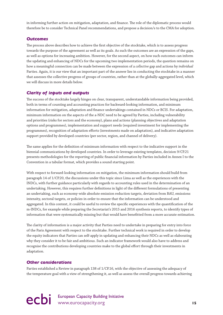in informing further action on mitigation, adaptation, and finance. The role of the diplomatic process would therefore be to consider Technical Panel recommendations, and propose a decision/s to the CMA for adoption.

#### *Outcomes*

The process above describes how to achieve the first objective of the stocktake, which is to assess progress towards the purpose of the agreement as well as its goals. As such the outcomes are an expression of the gaps, as well as options for increasing ambition. However, for the second aspect, on how such outcomes can inform the updating and enhancing of NDCs for the upcoming two implementation periods, the question remains on how a meaningful connection can be made between the expression of a *collective* gap and actions by *individual* Parties. Again, it is our view that an important part of the answer lies in conducting the stocktake in a manner that assesses the collective progress of groups of countries, rather than at the globally-aggregated level, which we will discuss in more details below.

#### *Clarity of inputs and outputs*

The success of the stocktake largely hinges on clear, transparent, understandable information being provided, both in terms of counting and accounting practices for backward-looking information, and minimum information for mitigation, adaptation and finance undertakings contained in NDCs or BCIS. For adaptation, minimum information on the aspects of the a-NDC need to be agreed by Parties, including vulnerability and priorities (risks for sectors and the economy), plans and actions (planning objectives and adaptation options and programmes), implementation and support needs (required investment for implementing the programmes), recognition of adaptation efforts (investments made on adaptation), and indicative adaptation support provided by developed countries (per sector, region, and channel of delivery).

The same applies for the definition of minimum information with respect to the indicative support in the biennial communications by developed countries. In order to leverage existing templates, decision 9/CP.21 presents methodologies for the reporting of public financial information by Parties included in Annex I to the Convention in a tabular format, which provides a sound starting point.

With respect to forward-looking information on mitigation, the minimum information should build from paragraph 14 of 1/CP.20, the discussions under this topic since Lima as well as the experiences with the INDCs, with further guidance particularly with regards to accounting rules used in the determination of an undertaking. However, this requires further definitions in light of the different formulations of presenting an undertaking, such as economy-wide absolute emission reduction targets, deviation from BAU, emissions intensity, sectoral targets, or policies in order to ensure that the information can be understood and aggregated. In this context, it could be useful to review the specific experiences with the quantification of the m-INDCs, for example while preparing the Secretariat's 2015 and 2016 synthesis reports, to identify types of information that were systematically missing but that would have benefitted from a more accurate estimation.

The clarity of information is a major activity that Parties need to undertake in preparing for entry into force of the Paris Agreement with respect to the stocktake. Further technical work is required in order to develop the equity indicators that Parties can self-apply in updating and enhancing their NDCs as well as elaborating why they consider it to be fair and ambitious. Such an indicator framework would also have to address and recognise the contributions developing countries make to the global effort through their investments in adaptation.

#### *Other considerations*

Parties established a Review in paragraph 138 of 1/CP.16, with the objective of assessing the adequacy of the temperature goal with a view of strengthening it, as well as assess the overall progress towards achieving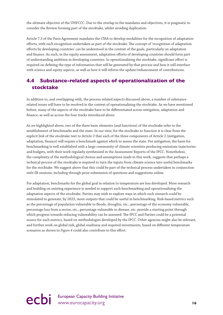the ultimate objective of the UNFCCC. Due to the overlap in the mandates and objectives, it is pragmatic to consider the Review forming part of the stocktake, whilst avoiding duplication.

Article 7.3 of the Paris Agreement mandates the CMA to develop modalities for the recognition of adaptation efforts, with such recognition undertaken as part of the stocktake. The concept of 'recognition of adaptation efforts by developing countries' can be understood in the context of the goals, particularly on adaptation and finance. As such, in the equity assessment, adaptation efforts of developing countries should form part of understanding ambition in developing countries. In operationalising the stocktake, significant effort is required on defining the type of information that will be generated by that process and how it will interface with science and equity aspects, as well as how it will inform the update/enhancement of contributions.

### **4.4 Substance-related aspects of operationalization of the stocktake**

In addition to, and overlapping with, the process-related aspects discussed above, a number of substancerelated issues will have to be resolved in the context of operationalizing the stocktake. As we have mentioned before, many of the aspects of the stocktake have to be differentiated across mitigation, adaptation and finance, as well as across the four tracks introduced above.

As we highlighted above, two of the three basic elements (and functions) of the stocktake refer to the establishment of benchmarks and the state. In our view, for the stocktake to function it is clear from the explicit link of the stocktake text to Article 2 that each of the three components of Article 2 (mitigation, adaptation, finance) will require a benchmark against which to assess the state. For mitigation, the basis for benchmarking is well established with a large community of climate scientists producing emissions trajectories and budgets, with their work regularly synthesised in the Assessment Reports of the IPCC. Nonetheless, the complexity of the methodological choices and assumptions made in this work, suggests that perhaps a technical process of the stocktake is required to turn the inputs from climate science into useful benchmarks for the stocktake. We suggest above that this could be part of the technical process undertaken in conjunction with SB sessions, including through prior submission of questions and suggestions online.

For adaptation, benchmarks for the global goal in relation to temperature are less developed. More research and building on existing experience is needed to support such benchmarking and operationalising the adaptation aspects of the stocktake. Parties may wish to explore ways in which such research could be stimulated to generate, by 2023, more outputs that could be useful in benchmarking. Risk-based metrics such as the percentage of population vulnerable to floods, droughts, etc.; percentage of the economy vulnerable, percentage loss from a sector, etc.; percentage vulnerable to disease, etc. provide a starting point through which progress towards reducing vulnerability can be assessed. The IPCC and Parties could be a potential source for such metrics, based on methodologies developed by the IPCC. Other agencies might also be relevant, and further work on global risk, global readiness and required investments, based on different temperature scenarios as shown in *Figure 4* could also contribute to this effort.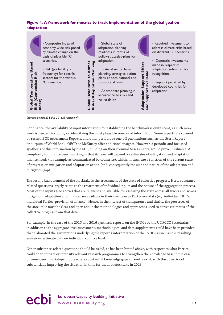#### **Figure 4. A framework for metrics to track implementation of the global goal on adaptation**



*Source: Ngwadla, El-Bakri. 2016, forthcoming32*

For finance, the availability of input information for establishing the benchmark is quite scant, as such more work is needed, including on identifying the most plausible sources of information. Some aspects are covered by recent IPCC Assessment Reports, and other periodic or one-off publications such as the Stern Report or outputs of World Bank, OECD or McKinsey offer additional insights. However, a periodic and focussed synthesis of this information by the SCF, building on their Biennial Assessments, would prove invaluable. A complexity for finance benchmarking is that its level will depend on estimates of mitigation and adaptation finance needs (for example as communicated by countries), which, in turn, are a function of the current state of progress on mitigation and adaptation action (and, consequently the size and nature of the adaptation and mitigation gap).

The second basic element of the stocktake is the assessment of the state of collective progress. Here, substancerelated questions largely relate to the treatment of individual inputs and the nature of the aggregation process. Most of the inputs (see above) that are relevant and available for assessing the state across all tracks and across mitigation, adaptation and finance, are available in their raw form as Party-level data (e.g. individual NDCs, individual Parties' provision of finance). Hence, in the interest of transparency and clarity, the processes of the stocktake must be clear and open about the methodologies and approaches used to derive estimates of the collective progress from that data.

For example, in the case of the 2015 and 2016 synthesis reports on the INDCs by the UNFCCC Secretariat,<sup>33</sup> in addition to the aggregate level assessment, methodological and data supplements could have been provided that elaborated the assumptions underlying the report's interpretation of the INDCs as well as the resulting emissions estimate data on individual country level.

Other substance-related questions should be asked, as has been hinted above, with respect to what Parties could do to initiate or intensify relevant research programmes to strengthen the knowledge base in the case of some benchmark-type inputs where substantial knowledge gaps currently exist, with the objective of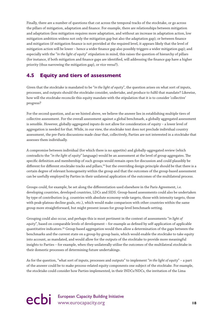Finally, there are a number of questions that cut across the temporal tracks of the stocktake, or go across the pillars of mitigation, adaptation and finance. For example, there are relationships between mitigation and adaptation (less mitigation requires more adaptation, and without an increase in adaptation action, low mitigation ambition widens not only the mitigation gap but also the adaptation gap); or between finance and mitigation (if mitigation finance is not provided at the required level, it appears likely that the level of mitigation action will be lower – hence a wider finance gap also possibly triggers a wider mitigation gap); and especially with the "*in the light of equity*" stipulation in mind, this raises the question of hierarchy of pillars (for instance, if both mitigation and finance gaps are identified, will addressing the finance gap have a higher priority (thus narrowing the mitigation gap), or vice versa?).

### **4.5 Equity and tiers of assessment**

Given that the stocktake is mandated to be "*in the light of equity*", the question arises on what sort of inputs, processes, and outputs should the stocktake consider, undertake, and produce to fulfil that mandate? Likewise, how will the stocktake reconcile this equity mandate with the stipulation that it is to consider 'collective' progress?

For the second question, and as we hinted above, we believe the answer lies in establishing multiple tiers of collective assessment. For the overall assessment against a global benchmark, a globally aggregated assessment is sensible. However, globally-aggregated inputs do not allow for consideration of equity – a lower level of aggregation is needed for that. While, in our view, the stocktake text does not preclude individual country assessment, the pre-Paris discussions made clear that, collectively, Parties are not interested in a stocktake that assesses them individually.

A compromise between individual (for which there is no appetite) and globally-aggregated review (which contradicts the "*in the light of equity*" language) would be an assessment at the level of group aggregates. The specific definition and membership of such groups would remain open for discussion and could plausibly be different for different stocktake tracks and pillars,<sup>34</sup> but the overriding design principle should be that there is a certain degree of relevant homogeneity within the group and that the outcomes of the group-based assessment can be usefully employed by Parties in their unilateral application of the outcomes of the multilateral process.

Groups could, for example, be set along the differentiation used elsewhere in the Paris Agreement, i.e. developing countries, developed countries, LDCs and SIDS. Group-based assessments could also be undertaken by type of contribution (e.g. countries with absolute economy-wide targets, those with intensity targets, those with peak-plateau-decline goals, etc.), which would make comparison with other countries within the same group more straightforward, but might present issues for group-level benchmark-setting.

Grouping could also occur, and perhaps this is most pertinent in the context of assessments "*in light of equity*", based on comparable levels of development – for example as defined by self-application of applicable quantitative indicators.<sup>35</sup> Group-based aggregation would then allow a determination of the gaps between the benchmarks and the current state on a group-by-group basis, which would enable the stocktake to take equity into account, as mandated, and would allow for the outputs of the stocktake to provide more meaningful insights to Parties – for example, when they unilaterally utilise the outcomes of the multilateral stocktake in their domestic processes of determining future undertakings.

As for the question, "what sort of inputs, processes and outputs" to implement "*in the light of equity*" – a part of the answer could be to make process-related equity components one subject of the stocktake. For example, the stocktake could consider how Parties implemented, in their INDCs/NDCs, the invitation of the Lima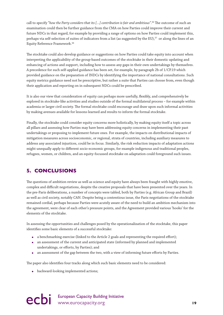<span id="page-20-0"></span>call to specify "*how the Party considers that its […] contribution is fair and ambitious"*. 36 The outcome of such an examination could then be further guidance from the CMA on how Parties could improve their current and future NDCs in that regard, for example by providing a range of options on how Parties could implement this, perhaps via self-selection of suites of indicators from a list (as suggested by the EU),<sup>37</sup> or along the lines of an Equity Reference Framework.38

The stocktake could also develop guidance or suggestions on how Parties could take equity into account when interpreting the applicability of the group-based outcomes of the stocktake in their domestic updating and enhancing of actions and support, including how to assess any gaps in their own undertakings by themselves. A precedence for such self-applied guidance has been set, for example, by paragraph 2b of 1/CP.19 which provided guidance on the preparation of INDCs by identifying the importance of national consultations. Such equity metrics guidance need not be prescriptive, but rather a suite that Parties can choose from, even though their application and reporting on in subsequent NDCs could be prescribed.

It is also our view that consideration of equity can perhaps more usefully, flexibly, and comprehensively be explored in stocktake-like activities and studies outside of the formal multilateral process – for example within academia or larger civil society. The formal stocktake could encourage and draw upon such informal activities by making avenues available for lessons-learned and results to inform the formal stocktake.

Finally, the stocktake could consider equity concerns more holistically, by making equity itself a topic across all pillars and assessing how Parties may have been addressing equity concerns in implementing their past undertakings or proposing to implement future ones. For example, the impacts on distributional impacts of mitigation measures across socioeconomic, or regional, strata of countries, including auxiliary measures to address any associated injustices, could be in focus. Similarly, the risk reduction impacts of adaptation actions might unequally apply to different socio-economic groups, for example indigenous and traditional peoples, refugees, women, or children, and an equity-focussed stocktake on adaptation could foreground such issues.

## **5. CONCLUSIONS**

The questions of ambition review as well as science and equity have always been fraught with highly emotive, complex and difficult negotiations, despite the creative proposals that have been presented over the years. In the pre-Paris deliberations, a number of concepts were tabled, both by Parties (e.g. African Group and Brazil) as well as civil society, notably CAN. Despite being a contentious issue, the Paris negotiations of the stocktake remained cordial, perhaps because Parties were acutely aware of the need to build an ambition mechanism into the agreement, were clear of each other's pressure points, and the Agreement provided various 'hooks' for the elements of the stocktake.

In assessing the opportunities and challenges posed by the operationalization of the stocktake, this paper identifies some basic elements of a successful stocktake:

- a benchmarking exercise (linked to the Article 2 goals and representing the required effort);
- an assessment of the current and anticipated state (informed by planned and implemented undertakings, or efforts, by Parties); and
- an assessment of the gap between the two, with a view of informing future efforts by Parties.

The paper also identifies four tracks along which such basic elements need to be considered:

• backward-looking implemented actions;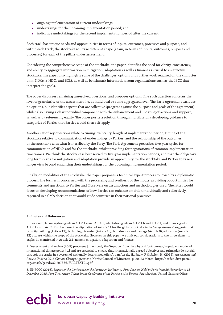- ongoing implementation of current undertakings;
- undertakings for the upcoming implementation period; and
- indicative undertakings for the second implementation period after the current.

Each track has unique needs and opportunities in terms of inputs, outcomes, processes and purpose, and within each track, the stocktake will take different shape (again, in terms of inputs, outcomes, purpose and processes) for each of the pillars under assessment.

Considering the comprehensive scope of the stocktake, the paper identifies the need for clarity, consistency, and ability to aggregate information in mitigation, adaptation as well as finance as crucial to an effective stocktake. The paper also highlights some of the challenges, options and further work required on the character of m-NDCs, a-NDCs and BCIS, as well as benchmark information from organisations such as the IPCC that interpret the goals.

The paper discusses remaining unresolved questions, and proposes options. One such question concerns the level of granularity of the assessment, i.e. at individual or some aggregated level. The Paris Agreement excludes no options, but identifies aspects that are collective (progress against the purpose and goals of the agreement), whilst also having a clear individual component with the enhancement and updating of actions and support, as well as by referencing equity. The paper posits a solution through multilaterally developing guidance to categories of Parties that Parties would then self-apply.

Another set of key questions relate to timing: cyclicality, length of implementation period, timing of the stocktake relative to communication of undertakings by Parties, and the relationship of the outcomes of the stocktake with what is inscribed by the Party. The Paris Agreement prescribes five-year cycles for communication of NDCs and for the stocktake, whilst providing for negotiations of common implementation timeframes. We think the stocktake is best served by five-year implementation periods, and that the obligatory long term-plans for mitigation and adaptation provide an opportunity for the stocktake and Parties to take a longer view beyond enhancing their undertakings for the upcoming implementation period.

Finally, on modalities of the stocktake, the paper proposes a technical expert process followed by a diplomatic process. The former is concerned with the processing and synthesis of the inputs, providing opportunities for comments and questions to Parties and Observers on assumptions and methodologies used. The latter would focus on developing recommendations of how Parties can enhance ambition individually and collectively, captured in a CMA decision that would guide countries in their national processes.

#### **Endnotes and References**

 1. For example, mitigation goals in Art 2.1.a and Art 4.1, adaptation goals in Art 2.1.b and Art 7.1, and finance goal in Art 2.1.c and Art 9. Furthermore, the stipulation of Article 14 for the global stocktake to be "*comprehensive*" suggests that capacity building (Article 11), technology transfer (Article 10), but also loss and damage (Article 8), education (Article 12) etc. are within the scope of the stocktake. However, in this paper, we limit our considerations to the three elements explicitly mentioned in Article 2.1, namely mitigation, adaptation and finance.

2. "Assessment and review (A&R) processes [...] embody the 'top-down' part in a hybrid 'bottom-up'/'top-down' model of international climate policy [...] and are essential to ensure that internationally agreed objectives and principles do not fall through the cracks in a system of nationally determined offers", van Asselt, H., Pauw, P. & Sælen, H. (2015). *Assessment and Review Under a 2015 Climate Change Agreement*. Nordic Council of Ministers, p. 20. 23 March. http://norden.diva-portal. org/smash/get/diva2:797336/FULLTEXT01.pdf.

3. UNFCCC (2016). *Report of the Conference of the Parties on Its Twenty-First Session, Held in Paris from 30 November to 13 December 2015. Part Two: Action Taken by the Conference of the Parties at Its Twenty-First Session*. United Nations Office,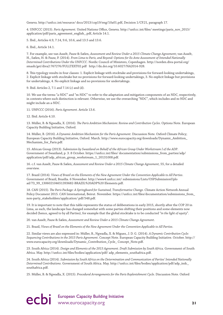Geneva. http://unfccc.int/resource/ docs/2013/cop19/eng/10a01.pdf, Decision 1/CP.21, paragraph 17.

4. UNFCCC (2015). *Paris Agreement*. United Nations Office, Geneva. http://unfccc.int/files/ meetings/paris\_nov\_2015/ application/pdf/paris\_agreement\_english\_.pdf, Article 14.1.

5. Ibid., Articles 4.9, 7.14, 9.6, 10.6, and 13.5 and 13.6.

6. Ibid., Article 14.1.

7. For example, see van Asselt, Pauw & Sælen, *Assessment and Review Under a 2015 Climate Change Agreemen*t; van Asselt, H., Sælen, H. & Pauw, P. (2014). *From Lima to Paris, and Beyond: Options for Ex Ante Assessment of Intended Nationally Determined Contributions Under the UNFCCC*. Nordic Council of Ministers, Copenhagen. http://norden.diva-portal.org/ smash/get/diva2:767276/FULLTEXT02.pdf http://dx.doi.org/10.6027/NA2014-928.

8. This typology results in four classes: 1. Explicit linkage with stocktake and provisions for forward-looking undertakings, 2. Explicit linkage with stocktake but no provisions for forward-looking undertakings, 3. No explicit linkage but provisions for undertakings, 4. No explicit linkage and no provisions for undertakings.

9. Ibid. Articles 2, 7.1 and 7.14 (c) and (d).

10. We use the terms "a-NDC" and "m-NDC" to refer to the adaptation and mitigation components of an NDC, respectively, in contexts where such distinction is relevant. Otherwise, we use the overarching "NDC", which includes and m-NDC and might include an a-NDC.

11. UNFCCC (2016). *Paris Agreement*. Article 13.6.

12. Ibid. Article 4.10.

13. Müller, B. & Ngwadla, X. (2016). *The Paris Ambition Mechanism: Review and Contribution Cycles*. Options Note. European Capacity Building Initiative, Oxford.

14. Müller, B. (2016). *A Dynamic Ambition Mechanism for the Paris Agreement*. Discussion Note. Oxford Climate Policy; European Capacity Building Initiative, Oxford. March. http://www.eurocapacity.org/downloads/Dynamic\_Ambition\_ Mechanism\_for\_Paris.pdf.

15. African Group (2013). *Submission by Swaziland on Behalf of the African Group Under Workstream I of the ADP*. Government of Swaziland, p. 3. 8 October. https://unfccc.int/files/ documentation/submissions\_from\_parties/adp/ application/pdf/adp\_african\_group\_workstream\_1\_20131008.pdf.

16. c.f. van Asselt, Pauw & Sælen, *Assessment and Review Under a 2015 Climate Change Agreement,* 55, for a detailed overview.

17. Brazil (2014). *Views of Brazil on the Elements of the New Agreement Under the Convention Applicable to All Parties*. Government of Brazil, Brasília. 6 November. http://www4.unfccc.int/ submissions/Lists/OSPSubmissionUplo ad/73\_99\_130602104651393682-BRAZIL%20ADP%20 Elements.pdf.

18. CAN (2015). *The Paris Package: A Springboard for Sustained, Transformative Change*. Climate Action Network Annual Policy Document 2015. CAN International, Beirut. November. https://unfccc.int/files/documentation/submissions\_from\_ non-party\_stakeholders/application/ pdf/548.pdf.

19. It is important to note that this table represents the status of deliberations in early 2015, shortly after the COP 20 in Lima, as such, the landscape has changed somewhat with some parties shifting their positions and some elements now decided (hence, agreed to by all Parties), for example that the global stocktake is to be conducted "*in the light of equity*".

20. van Asselt, Pauw & Sælen, *Assessment and Review Under a 2015 Climate Change Agreement*.

21. Brazil, *Views of Brazil on the Elements of the New Agreement Under the Convention Applicable to All Parties*.

22. Similar views are also expressed in: Müller, B., Ngwadla, X. & Miguez, J. D. G. (2014). *A Dynamic Contribution Cycle: Sequencing Contributions in the 2015 Paris Agreement*. Concept Note. European Capacity Building Initiative. October. http:// www.eurocapacity.org/downloads/Dynamic\_Contribution\_Cycle\_ Concept\_Note.pdf.

23. South Africa (2014). *Design and Elements of the 2015 Agreement. Draft Submission by South Afric*a. Government of South Africa. May. http://unfccc.int/files/bodies/application/pdf/ adp\_elements\_southafrica.pdf.

24. South Africa (2014). *Submission by South Africa on the Determination and Communication of Parties' Intended Nationally Determined Contributions*. Government of South Africa. May. http://unfccc.int/files/bodies/application/pdf/adp\_indc\_ southafrica.pdf.

25. Müller, B. & Ngwadla, X. (2015). *Procedural Arrangements for the Paris Replenishment Cycle*. Discussion Note. Oxford